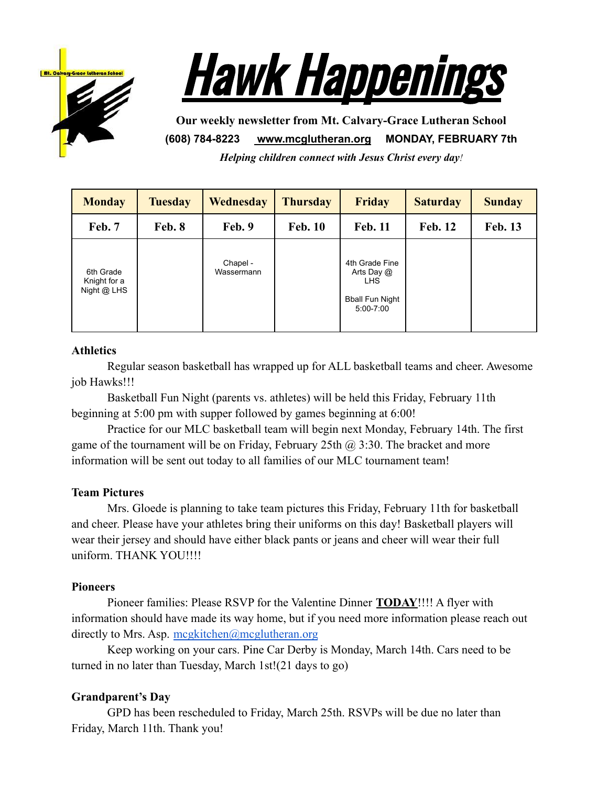



**Our weekly newsletter from Mt. Calvary-Grace Lutheran School (608) 784-8223 [www.mcglutheran.org](http://www.mcglutheran.org/) MONDAY, FEBRUARY 7th**

*Helping children connect with Jesus Christ every day!*

| <b>Monday</b>                            | <b>Tuesday</b> | <b>Wednesday</b>       | <b>Thursday</b> | <b>Friday</b>                                                                         | <b>Saturday</b> | <b>Sunday</b>  |
|------------------------------------------|----------------|------------------------|-----------------|---------------------------------------------------------------------------------------|-----------------|----------------|
| Feb. 7                                   | Feb. 8         | Feb. 9                 | <b>Feb. 10</b>  | <b>Feb. 11</b>                                                                        | <b>Feb. 12</b>  | <b>Feb. 13</b> |
| 6th Grade<br>Knight for a<br>Night @ LHS |                | Chapel -<br>Wassermann |                 | 4th Grade Fine<br>Arts Day @<br><b>LHS</b><br><b>Bball Fun Night</b><br>$5:00 - 7:00$ |                 |                |

#### **Athletics**

Regular season basketball has wrapped up for ALL basketball teams and cheer. Awesome job Hawks!!!

Basketball Fun Night (parents vs. athletes) will be held this Friday, February 11th beginning at 5:00 pm with supper followed by games beginning at 6:00!

Practice for our MLC basketball team will begin next Monday, February 14th. The first game of the tournament will be on Friday, February 25th  $\omega$  3:30. The bracket and more information will be sent out today to all families of our MLC tournament team!

# **Team Pictures**

Mrs. Gloede is planning to take team pictures this Friday, February 11th for basketball and cheer. Please have your athletes bring their uniforms on this day! Basketball players will wear their jersey and should have either black pants or jeans and cheer will wear their full uniform. THANK YOU!!!!

# **Pioneers**

Pioneer families: Please RSVP for the Valentine Dinner **TODAY**!!!! A flyer with information should have made its way home, but if you need more information please reach out directly to Mrs. Asp. [mcgkitchen@mcglutheran.org](mailto:mcgkitchen@mcglutheran.org)

Keep working on your cars. Pine Car Derby is Monday, March 14th. Cars need to be turned in no later than Tuesday, March 1st!(21 days to go)

# **Grandparent's Day**

GPD has been rescheduled to Friday, March 25th. RSVPs will be due no later than Friday, March 11th. Thank you!